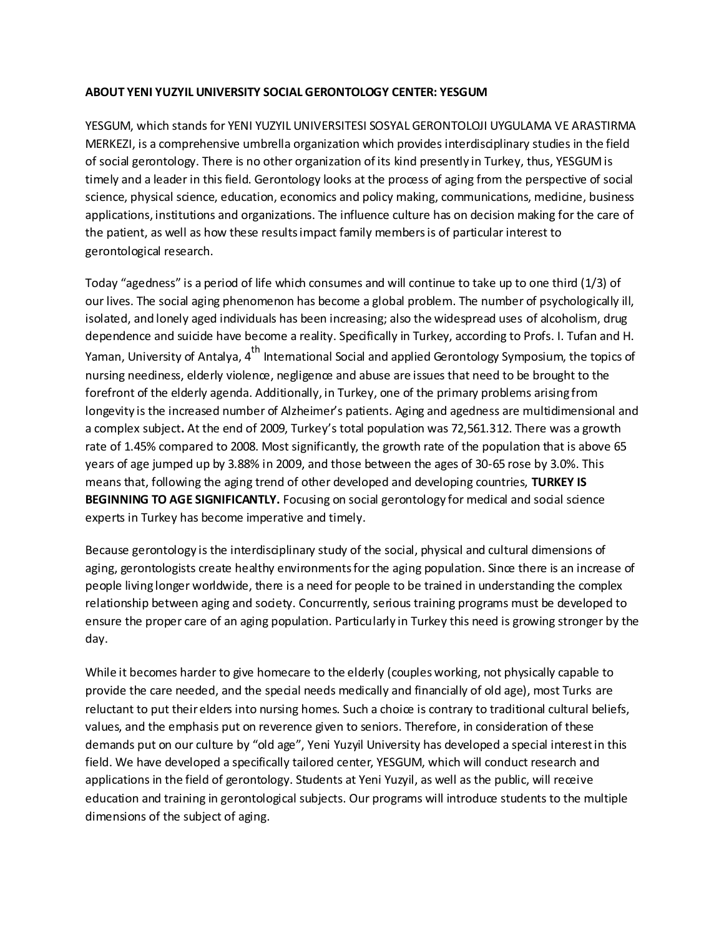## **ABOUT YENI YUZYIL UNIVERSITY SOCIAL GERONTOLOGY CENTER: YESGUM**

YESGUM, which stands for YENI YUZYIL UNIVERSITESI SOSYAL GERONTOLOJI UYGULAMA VE ARASTIRMA MERKEZI, is a comprehensive umbrella organization which provides interdisciplinary studies in the field of social gerontology. There is no other organization of its kind presently in Turkey, thus, YESGUM is timely and a leader in this field. Gerontology looks at the process of aging from the perspective of social science, physical science, education, economics and policy making, communications, medicine, business applications, institutions and organizations. The influence culture has on decision making for the care of the patient, as well as how these results impact family members is of particular interest to gerontological research.

Today "agedness" is a period of life which consumes and will continue to take up to one third (1/3) of our lives. The social aging phenomenon has become a global problem. The number of psychologically ill, isolated, and lonely aged individuals has been increasing; also the widespread uses of alcoholism, drug dependence and suicide have become a reality. Specifically in Turkey, according to Profs. I. Tufan and H. Yaman, University of Antalya, 4<sup>th</sup> International Social and applied Gerontology Symposium, the topics of nursing neediness, elderly violence, negligence and abuse are issues that need to be brought to the forefront of the elderly agenda. Additionally, in Turkey, one of the primary problems arising from longevity is the increased number of Alzheimer's patients. Aging and agedness are multidimensional and a complex subject**.** At the end of 2009, Turkey's total population was 72,561.312. There was a growth rate of 1.45% compared to 2008. Most significantly, the growth rate of the population that is above 65 years of age jumped up by 3.88% in 2009, and those between the ages of 30-65 rose by 3.0%. This means that, following the aging trend of other developed and developing countries, **TURKEY IS** BEGINNING TO AGE SIGNIFICANTLY. Focusing on social gerontology for medical and social science experts in Turkey has become imperative and timely.

Because gerontology is the interdisciplinary study of the social, physical and cultural dimensions of aging, gerontologists create healthy environments for the aging population. Since there is an increase of people living longer worldwide, there is a need for people to be trained in understanding the complex relationship between aging and society. Concurrently, serious training programs must be developed to ensure the proper care of an aging population. Particularly in Turkey this need is growing stronger by the day.

While it becomes harder to give homecare to the elderly (couples working, not physically capable to provide the care needed, and the special needs medically and financially of old age), most Turks are reluctant to put their elders into nursing homes. Such a choice is contrary to traditional cultural beliefs, values, and the emphasis put on reverence given to seniors. Therefore, in consideration of these demands put on our culture by "old age", Yeni Yuzyil University has developed a special interest in this field. We have developed a specifically tailored center, YESGUM, which will conduct research and applications in the field of gerontology. Students at Yeni Yuzyil, as well as the public, will receive education and training in gerontological subjects. Our programs will introduce students to the multiple dimensions of the subject of aging.